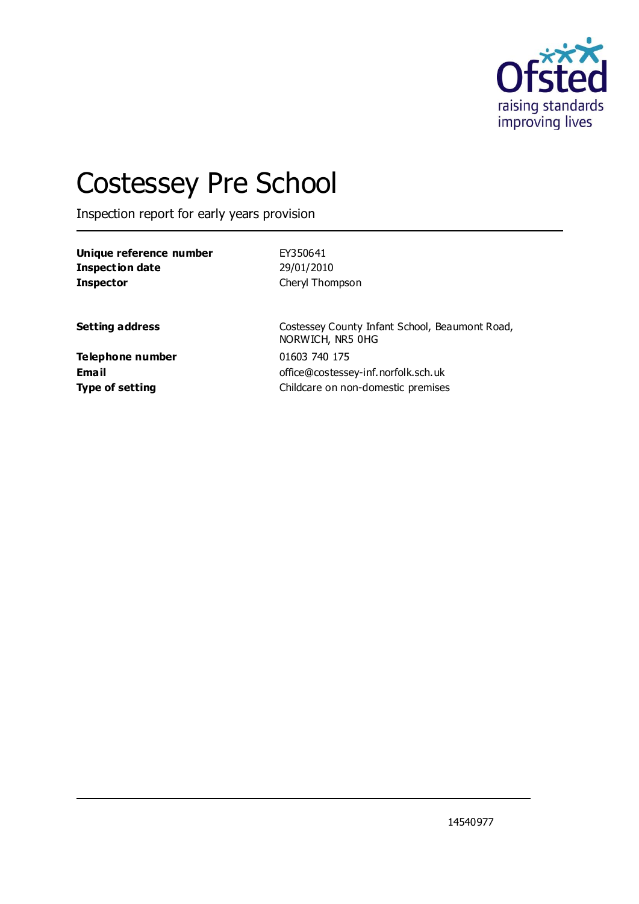

# Costessey Pre School

Inspection report for early years provision

| Unique reference number | EY350641                                                           |
|-------------------------|--------------------------------------------------------------------|
| <b>Inspection date</b>  | 29/01/2010                                                         |
| <b>Inspector</b>        | Cheryl Thompson                                                    |
| <b>Setting address</b>  | Costessey County Infant School, Beaumont Road,<br>NORWICH, NR5 0HG |
| <b>Telephone number</b> | 01603 740 175                                                      |
| <b>Email</b>            | office@costessey-inf.norfolk.sch.uk                                |
| <b>Type of setting</b>  | Childcare on non-domestic premises                                 |

14540977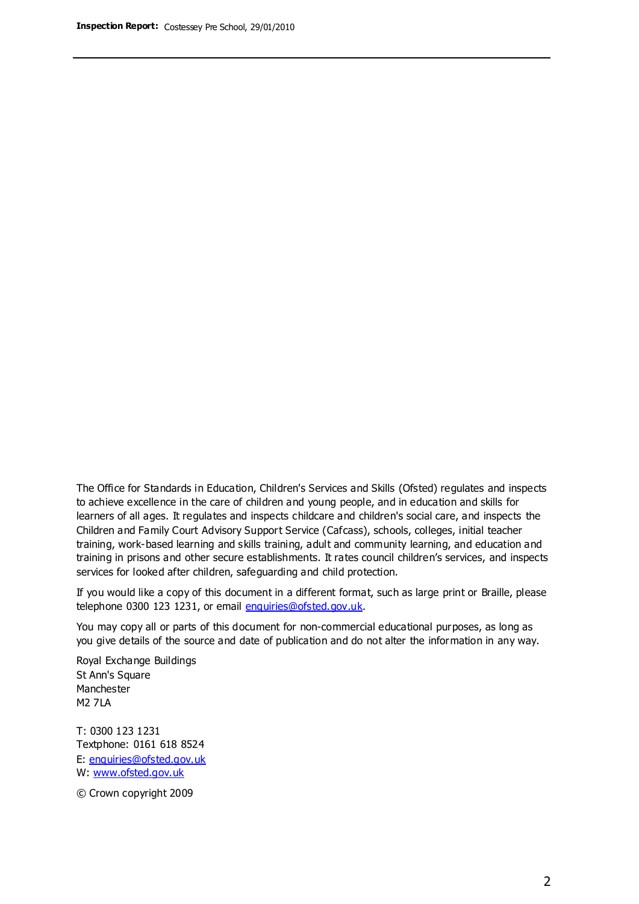The Office for Standards in Education, Children's Services and Skills (Ofsted) regulates and inspects to achieve excellence in the care of children and young people, and in education and skills for learners of all ages. It regulates and inspects childcare and children's social care, and inspects the Children and Family Court Advisory Support Service (Cafcass), schools, colleges, initial teacher training, work-based learning and skills training, adult and community learning, and education and training in prisons and other secure establishments. It rates council children's services, and inspects services for looked after children, safeguarding and child protection.

If you would like a copy of this document in a different format, such as large print or Braille, please telephone 0300 123 1231, or email enquiries@ofsted.gov.uk.

You may copy all or parts of this document for non-commercial educational purposes, as long as you give details of the source and date of publication and do not alter the information in any way.

Royal Exchange Buildings St Ann's Square Manchester M2 7LA

T: 0300 123 1231 Textphone: 0161 618 8524 E: enquiries@ofsted.gov.uk W: [www.ofsted.gov.uk](http://www.ofsted.gov.uk/)

© Crown copyright 2009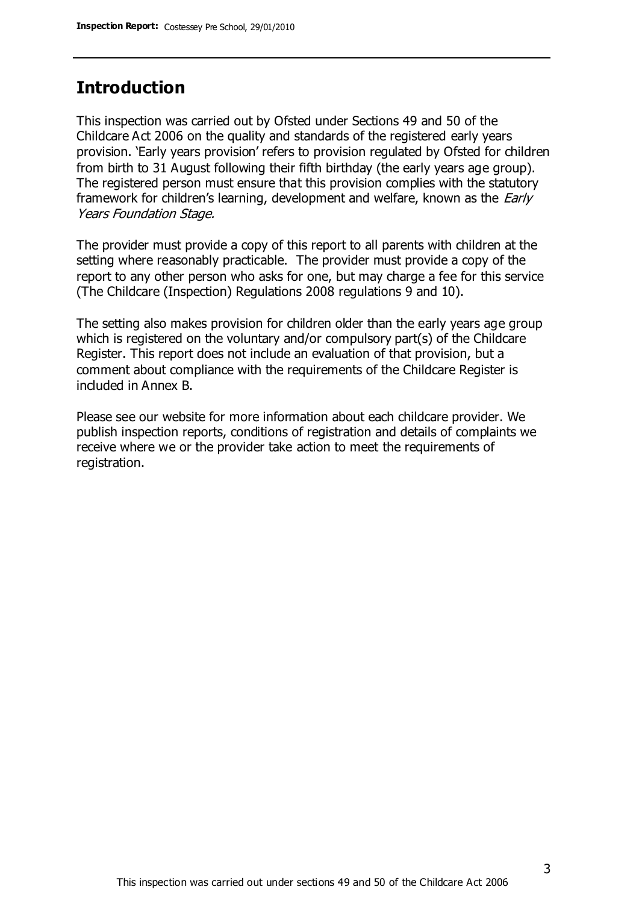## **Introduction**

This inspection was carried out by Ofsted under Sections 49 and 50 of the Childcare Act 2006 on the quality and standards of the registered early years provision. 'Early years provision' refers to provision regulated by Ofsted for children from birth to 31 August following their fifth birthday (the early years age group). The registered person must ensure that this provision complies with the statutory framework for children's learning, development and welfare, known as the *Early* Years Foundation Stage.

The provider must provide a copy of this report to all parents with children at the setting where reasonably practicable. The provider must provide a copy of the report to any other person who asks for one, but may charge a fee for this service (The Childcare (Inspection) Regulations 2008 regulations 9 and 10).

The setting also makes provision for children older than the early years age group which is registered on the voluntary and/or compulsory part(s) of the Childcare Register. This report does not include an evaluation of that provision, but a comment about compliance with the requirements of the Childcare Register is included in Annex B.

Please see our website for more information about each childcare provider. We publish inspection reports, conditions of registration and details of complaints we receive where we or the provider take action to meet the requirements of registration.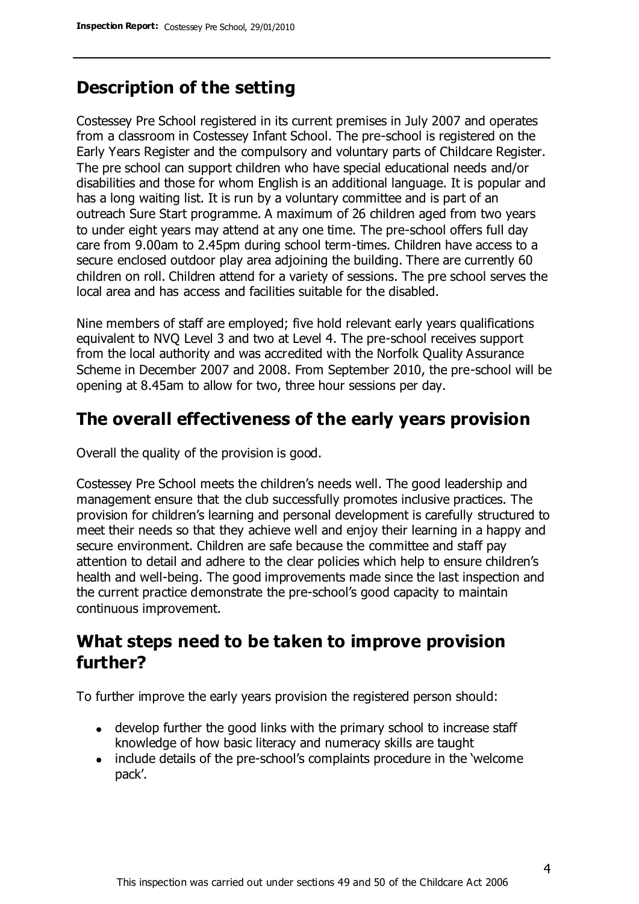# **Description of the setting**

Costessey Pre School registered in its current premises in July 2007 and operates from a classroom in Costessey Infant School. The pre-school is registered on the Early Years Register and the compulsory and voluntary parts of Childcare Register. The pre school can support children who have special educational needs and/or disabilities and those for whom English is an additional language. It is popular and has a long waiting list. It is run by a voluntary committee and is part of an outreach Sure Start programme. A maximum of 26 children aged from two years to under eight years may attend at any one time. The pre-school offers full day care from 9.00am to 2.45pm during school term-times. Children have access to a secure enclosed outdoor play area adjoining the building. There are currently 60 children on roll. Children attend for a variety of sessions. The pre school serves the local area and has access and facilities suitable for the disabled.

Nine members of staff are employed; five hold relevant early years qualifications equivalent to NVQ Level 3 and two at Level 4. The pre-school receives support from the local authority and was accredited with the Norfolk Quality Assurance Scheme in December 2007 and 2008. From September 2010, the pre-school will be opening at 8.45am to allow for two, three hour sessions per day.

### **The overall effectiveness of the early years provision**

Overall the quality of the provision is good.

Costessey Pre School meets the children's needs well. The good leadership and management ensure that the club successfully promotes inclusive practices. The provision for children's learning and personal development is carefully structured to meet their needs so that they achieve well and enjoy their learning in a happy and secure environment. Children are safe because the committee and staff pay attention to detail and adhere to the clear policies which help to ensure children's health and well-being. The good improvements made since the last inspection and the current practice demonstrate the pre-school's good capacity to maintain continuous improvement.

## **What steps need to be taken to improve provision further?**

To further improve the early years provision the registered person should:

- develop further the good links with the primary school to increase staff knowledge of how basic literacy and numeracy skills are taught
- include details of the pre-school's complaints procedure in the 'welcome' pack'.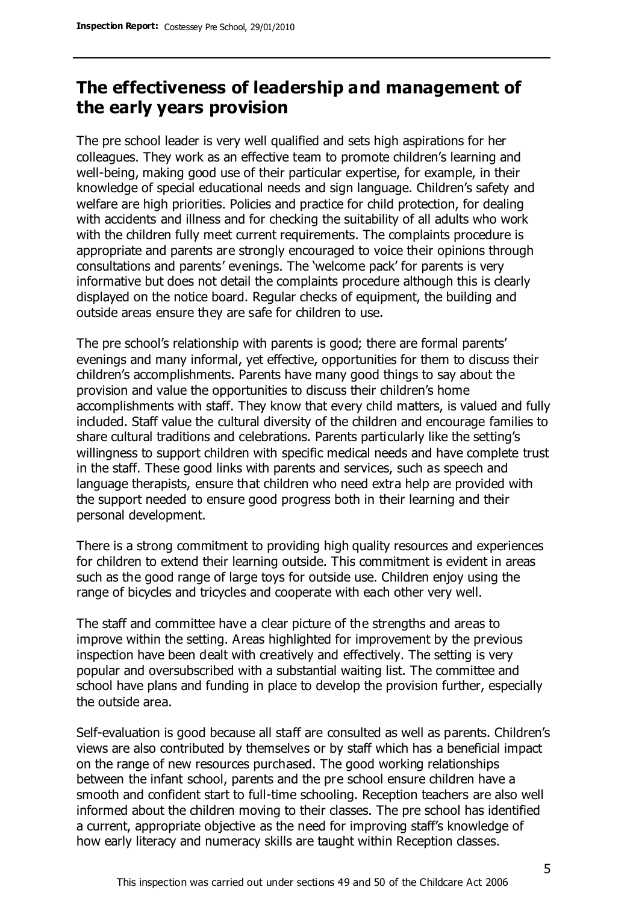# **The effectiveness of leadership and management of the early years provision**

The pre school leader is very well qualified and sets high aspirations for her colleagues. They work as an effective team to promote children's learning and well-being, making good use of their particular expertise, for example, in their knowledge of special educational needs and sign language. Children's safety and welfare are high priorities. Policies and practice for child protection, for dealing with accidents and illness and for checking the suitability of all adults who work with the children fully meet current requirements. The complaints procedure is appropriate and parents are strongly encouraged to voice their opinions through consultations and parents' evenings. The 'welcome pack' for parents is very informative but does not detail the complaints procedure although this is clearly displayed on the notice board. Regular checks of equipment, the building and outside areas ensure they are safe for children to use.

The pre school's relationship with parents is good; there are formal parents' evenings and many informal, yet effective, opportunities for them to discuss their children's accomplishments. Parents have many good things to say about the provision and value the opportunities to discuss their children's home accomplishments with staff. They know that every child matters, is valued and fully included. Staff value the cultural diversity of the children and encourage families to share cultural traditions and celebrations. Parents particularly like the setting's willingness to support children with specific medical needs and have complete trust in the staff. These good links with parents and services, such as speech and language therapists, ensure that children who need extra help are provided with the support needed to ensure good progress both in their learning and their personal development.

There is a strong commitment to providing high quality resources and experiences for children to extend their learning outside. This commitment is evident in areas such as the good range of large toys for outside use. Children enjoy using the range of bicycles and tricycles and cooperate with each other very well.

The staff and committee have a clear picture of the strengths and areas to improve within the setting. Areas highlighted for improvement by the previous inspection have been dealt with creatively and effectively. The setting is very popular and oversubscribed with a substantial waiting list. The committee and school have plans and funding in place to develop the provision further, especially the outside area.

Self-evaluation is good because all staff are consulted as well as parents. Children's views are also contributed by themselves or by staff which has a beneficial impact on the range of new resources purchased. The good working relationships between the infant school, parents and the pre school ensure children have a smooth and confident start to full-time schooling. Reception teachers are also well informed about the children moving to their classes. The pre school has identified a current, appropriate objective as the need for improving staff's knowledge of how early literacy and numeracy skills are taught within Reception classes.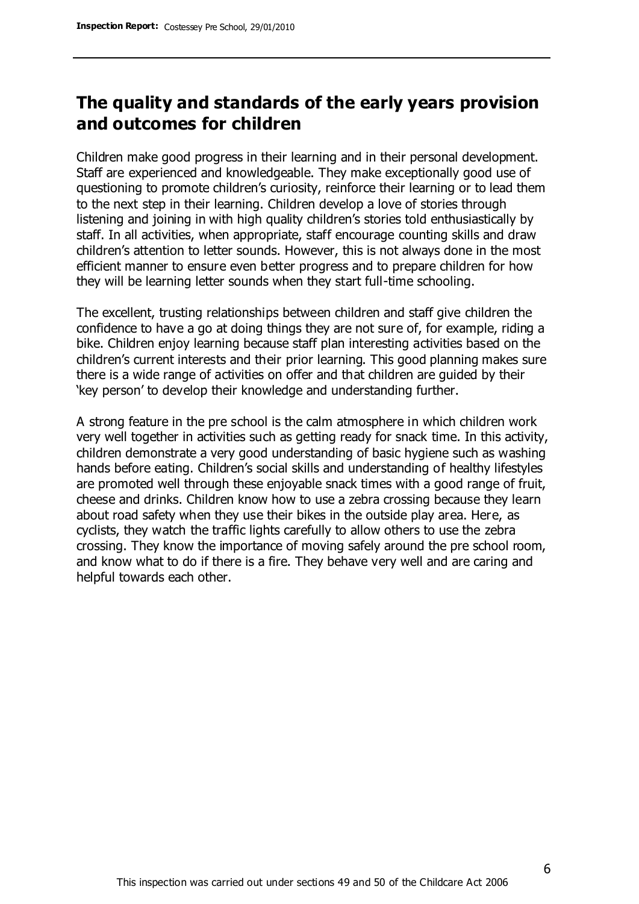# **The quality and standards of the early years provision and outcomes for children**

Children make good progress in their learning and in their personal development. Staff are experienced and knowledgeable. They make exceptionally good use of questioning to promote children's curiosity, reinforce their learning or to lead them to the next step in their learning. Children develop a love of stories through listening and joining in with high quality children's stories told enthusiastically by staff. In all activities, when appropriate, staff encourage counting skills and draw children's attention to letter sounds. However, this is not always done in the most efficient manner to ensure even better progress and to prepare children for how they will be learning letter sounds when they start full-time schooling.

The excellent, trusting relationships between children and staff give children the confidence to have a go at doing things they are not sure of, for example, riding a bike. Children enjoy learning because staff plan interesting activities based on the children's current interests and their prior learning. This good planning makes sure there is a wide range of activities on offer and that children are guided by their 'key person' to develop their knowledge and understanding further.

A strong feature in the pre school is the calm atmosphere in which children work very well together in activities such as getting ready for snack time. In this activity, children demonstrate a very good understanding of basic hygiene such as washing hands before eating. Children's social skills and understanding of healthy lifestyles are promoted well through these enjoyable snack times with a good range of fruit, cheese and drinks. Children know how to use a zebra crossing because they learn about road safety when they use their bikes in the outside play area. Here, as cyclists, they watch the traffic lights carefully to allow others to use the zebra crossing. They know the importance of moving safely around the pre school room, and know what to do if there is a fire. They behave very well and are caring and helpful towards each other.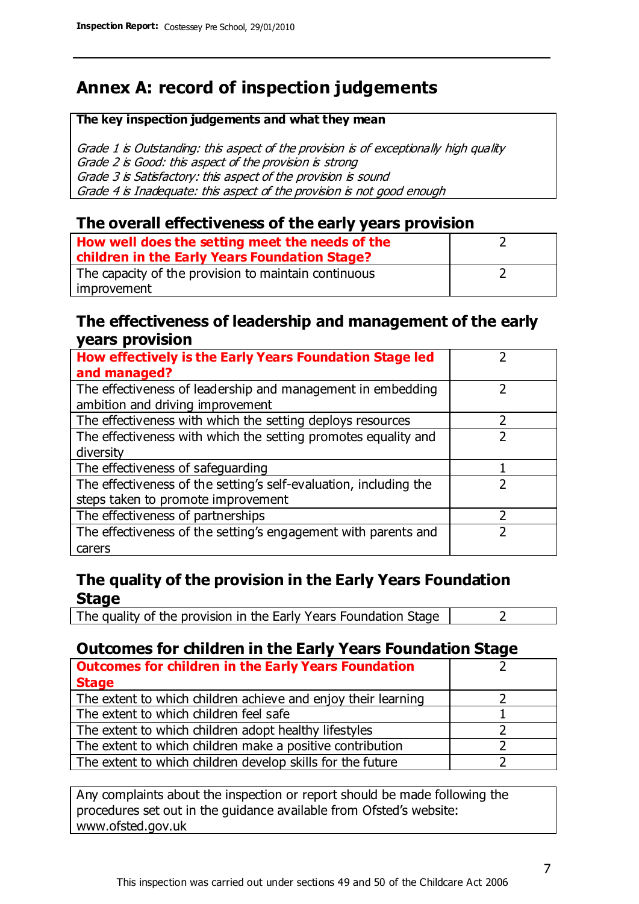# **Annex A: record of inspection judgements**

#### **The key inspection judgements and what they mean**

Grade 1 is Outstanding: this aspect of the provision is of exceptionally high quality Grade 2 is Good: this aspect of the provision is strong Grade 3 is Satisfactory: this aspect of the provision is sound Grade 4 is Inadequate: this aspect of the provision is not good enough

### **The overall effectiveness of the early years provision**

| How well does the setting meet the needs of the      |  |
|------------------------------------------------------|--|
| children in the Early Years Foundation Stage?        |  |
| The capacity of the provision to maintain continuous |  |
| improvement                                          |  |

#### **The effectiveness of leadership and management of the early years provision**

| How effectively is the Early Years Foundation Stage led                                         |  |
|-------------------------------------------------------------------------------------------------|--|
| and managed?                                                                                    |  |
| The effectiveness of leadership and management in embedding<br>ambition and driving improvement |  |
| The effectiveness with which the setting deploys resources                                      |  |
| The effectiveness with which the setting promotes equality and                                  |  |
| diversity                                                                                       |  |
| The effectiveness of safeguarding                                                               |  |
| The effectiveness of the setting's self-evaluation, including the                               |  |
| steps taken to promote improvement                                                              |  |
| The effectiveness of partnerships                                                               |  |
| The effectiveness of the setting's engagement with parents and                                  |  |
| carers                                                                                          |  |

### **The quality of the provision in the Early Years Foundation Stage**

The quality of the provision in the Early Years Foundation Stage  $\vert$  2

### **Outcomes for children in the Early Years Foundation Stage**

| <b>Outcomes for children in the Early Years Foundation</b>    |  |
|---------------------------------------------------------------|--|
| <b>Stage</b>                                                  |  |
| The extent to which children achieve and enjoy their learning |  |
| The extent to which children feel safe                        |  |
| The extent to which children adopt healthy lifestyles         |  |
| The extent to which children make a positive contribution     |  |
| The extent to which children develop skills for the future    |  |

Any complaints about the inspection or report should be made following the procedures set out in the guidance available from Ofsted's website: www.ofsted.gov.uk